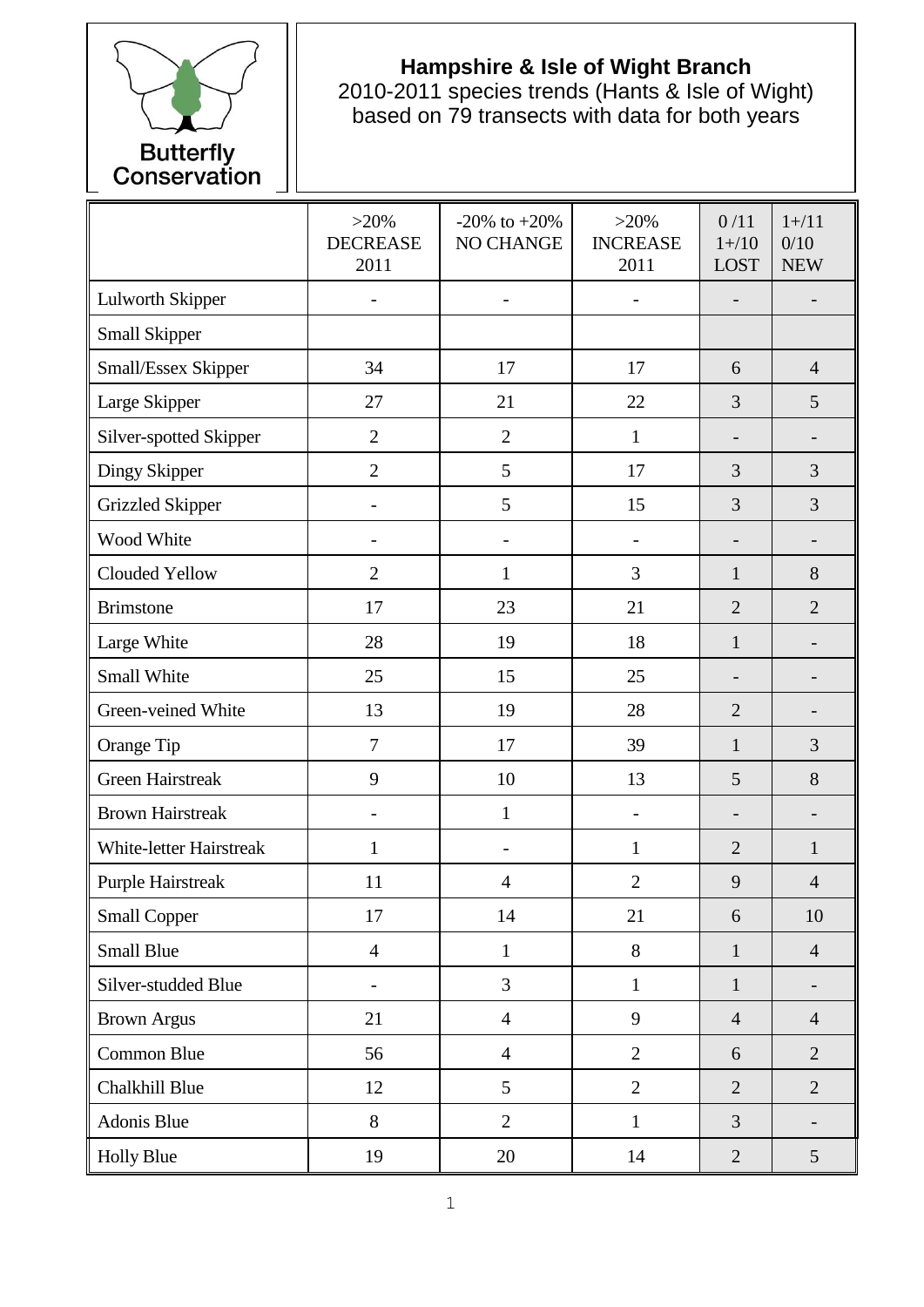

## **Hampshire & Isle of Wight Branch**

2010-2011 species trends (Hants & Isle of Wight) based on 79 transects with data for both years

|                                | $>20\%$<br><b>DECREASE</b><br>2011 | $-20\%$ to $+20\%$<br>NO CHANGE | $>20\%$<br><b>INCREASE</b><br>2011 | 0/11<br>$1 + / 10$<br><b>LOST</b> | $1 + / 11$<br>0/10<br><b>NEW</b> |
|--------------------------------|------------------------------------|---------------------------------|------------------------------------|-----------------------------------|----------------------------------|
| Lulworth Skipper               |                                    | $\overline{\phantom{a}}$        |                                    | $\overline{\phantom{0}}$          |                                  |
| Small Skipper                  |                                    |                                 |                                    |                                   |                                  |
| Small/Essex Skipper            | 34                                 | 17                              | 17                                 | 6                                 | $\overline{4}$                   |
| Large Skipper                  | 27                                 | 21                              | 22                                 | 3                                 | 5                                |
| Silver-spotted Skipper         | $\overline{2}$                     | $\overline{2}$                  | $\mathbf{1}$                       |                                   |                                  |
| Dingy Skipper                  | $\overline{2}$                     | 5                               | 17                                 | 3                                 | 3                                |
| <b>Grizzled Skipper</b>        |                                    | 5                               | 15                                 | 3                                 | 3                                |
| Wood White                     |                                    | $\overline{\phantom{0}}$        | -                                  | $\overline{\phantom{0}}$          |                                  |
| Clouded Yellow                 | $\overline{2}$                     | $\mathbf{1}$                    | 3                                  | $\mathbf{1}$                      | 8                                |
| <b>Brimstone</b>               | 17                                 | 23                              | 21                                 | $\overline{2}$                    | $\overline{2}$                   |
| Large White                    | 28                                 | 19                              | 18                                 | $\mathbf{1}$                      |                                  |
| Small White                    | 25                                 | 15                              | 25                                 | -                                 | -                                |
| Green-veined White             | 13                                 | 19                              | 28                                 | $\overline{2}$                    |                                  |
| Orange Tip                     | $\tau$                             | 17                              | 39                                 | $\mathbf{1}$                      | 3                                |
| <b>Green Hairstreak</b>        | 9                                  | 10                              | 13                                 | 5                                 | 8                                |
| <b>Brown Hairstreak</b>        | $\overline{\phantom{0}}$           | $\mathbf{1}$                    | $\overline{\phantom{0}}$           | $\overline{\phantom{0}}$          | -                                |
| <b>White-letter Hairstreak</b> | $\mathbf{1}$                       |                                 | $\mathbf{1}$                       | $\overline{2}$                    | $\mathbf{1}$                     |
| <b>Purple Hairstreak</b>       | 11                                 | $\overline{4}$                  | $\overline{2}$                     | 9                                 | $\overline{4}$                   |
| <b>Small Copper</b>            | 17                                 | 14                              | 21                                 | 6                                 | 10                               |
| <b>Small Blue</b>              | $\overline{4}$                     | $\mathbf{1}$                    | 8                                  | $\mathbf{1}$                      | $\overline{4}$                   |
| Silver-studded Blue            | $\overline{\phantom{0}}$           | 3                               | $\mathbf{1}$                       | $\mathbf{1}$                      | -                                |
| <b>Brown Argus</b>             | 21                                 | $\overline{4}$                  | 9                                  | $\overline{4}$                    | $\overline{4}$                   |
| Common Blue                    | 56                                 | $\overline{4}$                  | $\overline{2}$                     | 6                                 | $\overline{2}$                   |
| Chalkhill Blue                 | 12                                 | 5                               | $\overline{2}$                     | $\overline{2}$                    | $\overline{2}$                   |
| Adonis Blue                    | 8                                  | $\overline{2}$                  | $\mathbf{1}$                       | $\overline{3}$                    | $\overline{\phantom{0}}$         |
| <b>Holly Blue</b>              | 19                                 | 20                              | 14                                 | $\overline{2}$                    | $5\overline{)}$                  |